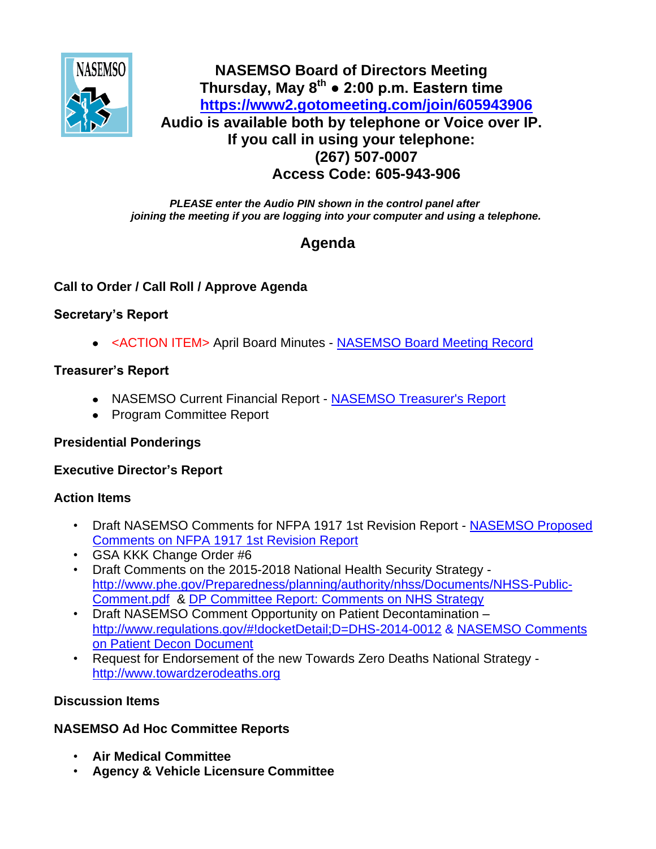

## **NASEMSO Board of Directors Meeting Thursday, May 8th ● 2:00 p.m. Eastern time <https://www2.gotomeeting.com/join/605943906> Audio is available both by telephone or Voice over IP. If you call in using your telephone: (267) 507-0007 Access Code: 605-943-906**

*PLEASE enter the Audio PIN shown in the control panel after joining the meeting if you are logging into your computer and using a telephone.*

# **Agenda**

## **Call to Order / Call Roll / Approve Agenda**

## **Secretary's Report**

<ACTION ITEM> April Board Minutes - [NASEMSO Board Meeting Record](https://www.nasemso.org/Members/Board/documents/NASEMSO-Board-Minutes-10Apr2014.pdf)

## **Treasurer's Report**

- NASEMSO Current Financial Report [NASEMSO Treasurer's Report](https://www.nasemso.org/Members/Board/documents/NASEMSO-Treasurers-Report-30Apr2014.pdf)
- Program Committee Report

## **Presidential Ponderings**

## **Executive Director's Report**

#### **Action Items**

- Draft NASEMSO Comments for NFPA 1917 1st Revision Report [NASEMSO Proposed](https://www.nasemso.org/Members/Board/documents/NASEMSO-Proposed-Comments-NFPA-1917-05May2014.pdf)  [Comments on NFPA 1917 1st Revision Report](https://www.nasemso.org/Members/Board/documents/NASEMSO-Proposed-Comments-NFPA-1917-05May2014.pdf)
- GSA KKK Change Order #6
- Draft Comments on the 2015-2018 National Health Security Strategy [http://www.phe.gov/Preparedness/planning/authority/nhss/Documents/NHSS-Public-](http://www.phe.gov/Preparedness/planning/authority/nhss/Documents/NHSS-Public-Comment.pdf)[Comment.pdf](http://www.phe.gov/Preparedness/planning/authority/nhss/Documents/NHSS-Public-Comment.pdf) & [DP Committee Report: Comments on NHS Strategy](https://www.nasemso.org/Members/Board/documents/Comments-on-NHS-Strategy.pdf)
- Draft NASEMSO Comment Opportunity on Patient Decontamination <http://www.regulations.gov/#!docketDetail;D=DHS-2014-0012> & [NASEMSO Comments](https://www.nasemso.org/Members/Board/documents/NASEMSO-Comments-on-Patient-Decon-Document.pdf)  [on Patient Decon Document](https://www.nasemso.org/Members/Board/documents/NASEMSO-Comments-on-Patient-Decon-Document.pdf)
- Request for Endorsement of the new Towards Zero Deaths National Strategy [http://www.towardzerodeaths.org](http://www.towardzerodeaths.org/)

## **Discussion Items**

## **NASEMSO Ad Hoc Committee Reports**

- **Air Medical Committee**
- **Agency & Vehicle Licensure Committee**